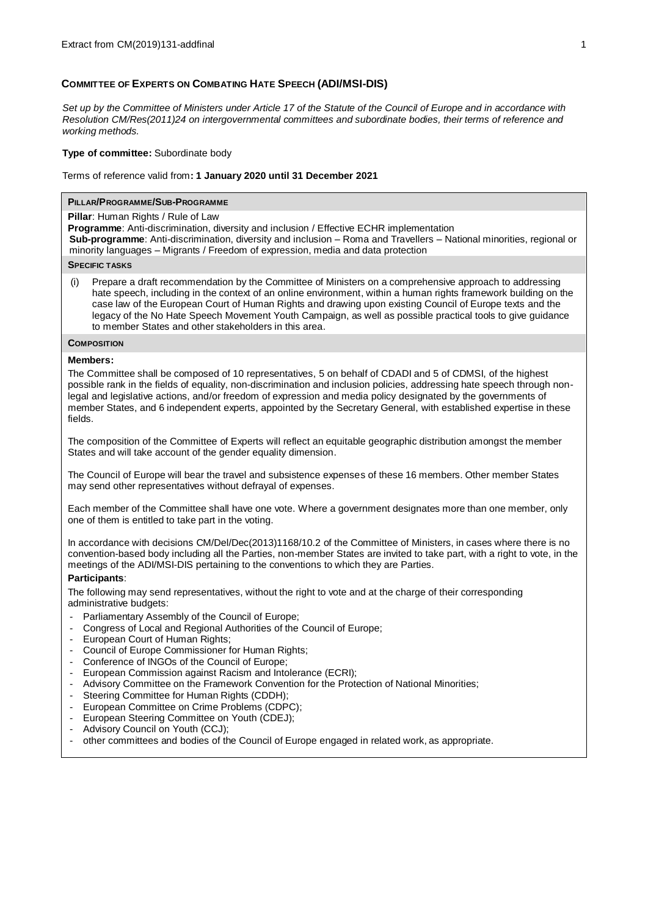# **COMMITTEE OF EXPERTS ON COMBATING HATE SPEECH (ADI/MSI-DIS)**

*Set up by the Committee of Ministers under Article 17 of the Statute of the Council of Europe and in accordance with Resolutio[n CM/Res\(2011\)24](https://search.coe.int/cm/Pages/result_details.aspx?Reference=CM/Res(2011)24) on intergovernmental committees and subordinate bodies, their terms of reference and working methods.* 

## **Type of committee:** Subordinate body

### Terms of reference valid from**: 1 January 2020 until 31 December 2021**

## **PILLAR/PROGRAMME/SUB-PROGRAMME**

**Pillar**: Human Rights / Rule of Law

**Programme**: Anti-discrimination, diversity and inclusion / Effective ECHR implementation

**Sub-programme**: Anti-discrimination, diversity and inclusion – Roma and Travellers – National minorities, regional or minority languages – Migrants / Freedom of expression, media and data protection

### **SPECIFIC TASKS**

(i) Prepare a draft recommendation by the Committee of Ministers on a comprehensive approach to addressing hate speech, including in the context of an online environment, within a human rights framework building on the case law of the European Court of Human Rights and drawing upon existing Council of Europe texts and the legacy of the No Hate Speech Movement Youth Campaign, as well as possible practical tools to give guidance to member States and other stakeholders in this area.

**COMPOSITION** 

### **Members:**

The Committee shall be composed of 10 representatives, 5 on behalf of CDADI and 5 of CDMSI, of the highest possible rank in the fields of equality, non-discrimination and inclusion policies, addressing hate speech through nonlegal and legislative actions, and/or freedom of expression and media policy designated by the governments of member States, and 6 independent experts, appointed by the Secretary General, with established expertise in these fields.

The composition of the Committee of Experts will reflect an equitable geographic distribution amongst the member States and will take account of the gender equality dimension.

The Council of Europe will bear the travel and subsistence expenses of these 16 members. Other member States may send other representatives without defrayal of expenses.

Each member of the Committee shall have one vote. Where a government designates more than one member, only one of them is entitled to take part in the voting.

In accordance with decisions [CM/Del/Dec\(2013\)1168/10.2](https://search.coe.int/cm/Pages/result_details.aspx?Reference=CM/Del/Dec(2013)1168/10.2) of the Committee of Ministers, in cases where there is no convention-based body including all the Parties, non-member States are invited to take part, with a right to vote, in the meetings of the ADI/MSI-DIS pertaining to the conventions to which they are Parties.

# **Participants**:

The following may send representatives, without the right to vote and at the charge of their corresponding administrative budgets:

- Parliamentary Assembly of the Council of Europe;
- Congress of Local and Regional Authorities of the Council of Europe;
- European Court of Human Rights;
- Council of Europe Commissioner for Human Rights;
- Conference of INGOs of the Council of Europe;
- European Commission against Racism and Intolerance (ECRI);
- Advisory Committee on the Framework Convention for the Protection of National Minorities;
- Steering Committee for Human Rights (CDDH);
- European Committee on Crime Problems (CDPC);
- European Steering Committee on Youth (CDEJ);
- Advisory Council on Youth (CCJ);
- other committees and bodies of the Council of Europe engaged in related work, as appropriate.